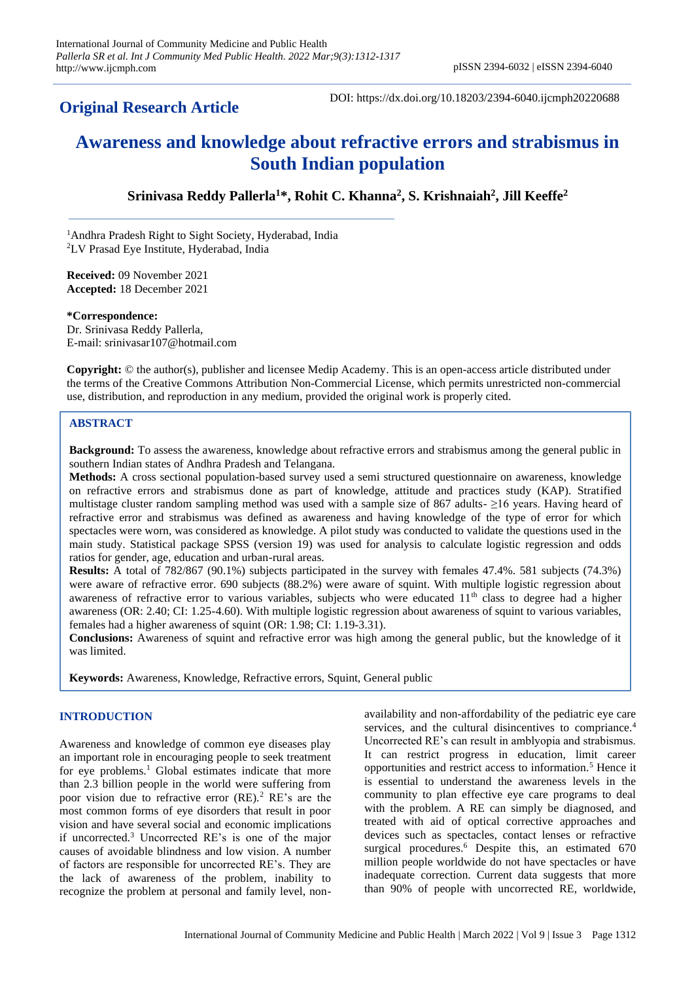# **Original Research Article**

DOI: https://dx.doi.org/10.18203/2394-6040.ijcmph20220688

# **Awareness and knowledge about refractive errors and strabismus in South Indian population**

**Srinivasa Reddy Pallerla<sup>1</sup>\*, Rohit C. Khanna<sup>2</sup> , S. Krishnaiah<sup>2</sup> , Jill Keeffe<sup>2</sup>**

<sup>1</sup>Andhra Pradesh Right to Sight Society, Hyderabad, India <sup>2</sup>LV Prasad Eye Institute, Hyderabad, India

**Received:** 09 November 2021 **Accepted:** 18 December 2021

#### **\*Correspondence:**

Dr. Srinivasa Reddy Pallerla, E-mail: srinivasar107@hotmail.com

**Copyright:** © the author(s), publisher and licensee Medip Academy. This is an open-access article distributed under the terms of the Creative Commons Attribution Non-Commercial License, which permits unrestricted non-commercial use, distribution, and reproduction in any medium, provided the original work is properly cited.

#### **ABSTRACT**

**Background:** To assess the awareness, knowledge about refractive errors and strabismus among the general public in southern Indian states of Andhra Pradesh and Telangana.

**Methods:** A cross sectional population-based survey used a semi structured questionnaire on awareness, knowledge on refractive errors and strabismus done as part of knowledge, attitude and practices study (KAP). Stratified multistage cluster random sampling method was used with a sample size of 867 adults- ≥16 years. Having heard of refractive error and strabismus was defined as awareness and having knowledge of the type of error for which spectacles were worn, was considered as knowledge. A pilot study was conducted to validate the questions used in the main study. Statistical package SPSS (version 19) was used for analysis to calculate logistic regression and odds ratios for gender, age, education and urban-rural areas.

**Results:** A total of 782/867 (90.1%) subjects participated in the survey with females 47.4%. 581 subjects (74.3%) were aware of refractive error. 690 subjects (88.2%) were aware of squint. With multiple logistic regression about awareness of refractive error to various variables, subjects who were educated 11<sup>th</sup> class to degree had a higher awareness (OR: 2.40; CI: 1.25-4.60). With multiple logistic regression about awareness of squint to various variables, females had a higher awareness of squint (OR: 1.98; CI: 1.19-3.31).

**Conclusions:** Awareness of squint and refractive error was high among the general public, but the knowledge of it was limited.

**Keywords:** Awareness, Knowledge, Refractive errors, Squint, General public

#### **INTRODUCTION**

Awareness and knowledge of common eye diseases play an important role in encouraging people to seek treatment for eye problems.<sup>1</sup> Global estimates indicate that more than 2.3 billion people in the world were suffering from poor vision due to refractive error (RE).<sup>2</sup> RE's are the most common forms of eye disorders that result in poor vision and have several social and economic implications if uncorrected.<sup>3</sup> Uncorrected RE's is one of the major causes of avoidable blindness and low vision. A number of factors are responsible for uncorrected RE's. They are the lack of awareness of the problem, inability to recognize the problem at personal and family level, nonavailability and non-affordability of the pediatric eye care services, and the cultural disincentives to compriance.<sup>4</sup> Uncorrected RE's can result in amblyopia and strabismus. It can restrict progress in education, limit career opportunities and restrict access to information.<sup>5</sup> Hence it is essential to understand the awareness levels in the community to plan effective eye care programs to deal with the problem. A RE can simply be diagnosed, and treated with aid of optical corrective approaches and devices such as spectacles, contact lenses or refractive surgical procedures.<sup>6</sup> Despite this, an estimated 670 million people worldwide do not have spectacles or have inadequate correction. Current data suggests that more than 90% of people with uncorrected RE, worldwide,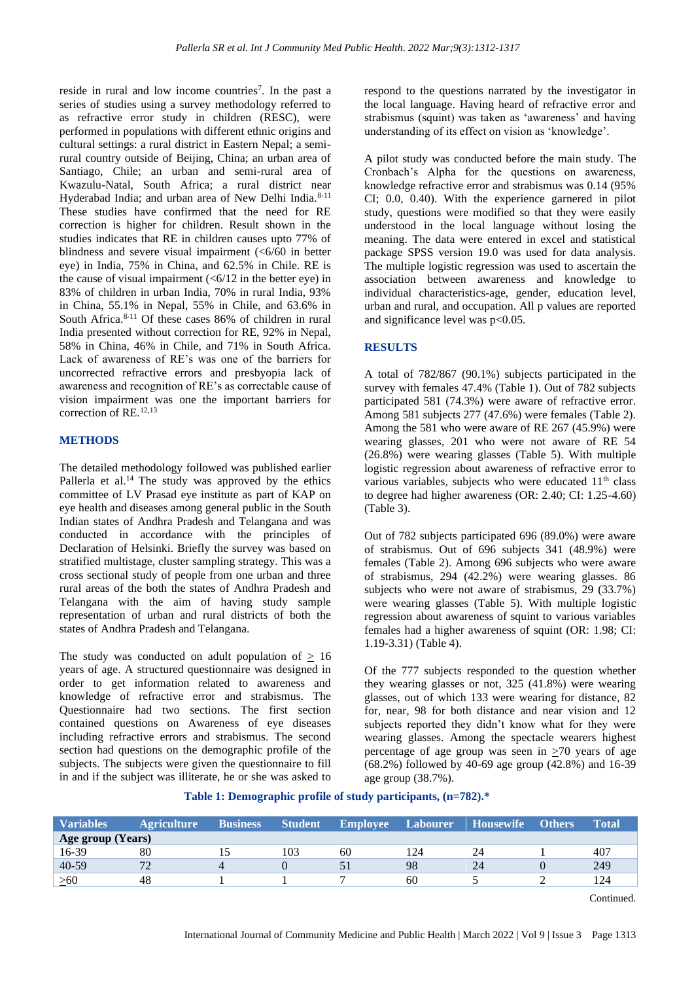reside in rural and low income countries<sup>7</sup>. In the past a series of studies using a survey methodology referred to as refractive error study in children (RESC), were performed in populations with different ethnic origins and cultural settings: a rural district in Eastern Nepal; a semirural country outside of Beijing, China; an urban area of Santiago, Chile; an urban and semi-rural area of Kwazulu-Natal, South Africa; a rural district near Hyderabad India; and urban area of New Delhi India.<sup>8-11</sup> These studies have confirmed that the need for RE correction is higher for children. Result shown in the studies indicates that RE in children causes upto 77% of blindness and severe visual impairment (<6/60 in better eye) in India, 75% in China, and 62.5% in Chile. RE is the cause of visual impairment  $( $6/12$  in the better eye) in$ 83% of children in urban India, 70% in rural India, 93% in China, 55.1% in Nepal, 55% in Chile, and 63.6% in South Africa.<sup>8-11</sup> Of these cases 86% of children in rural India presented without correction for RE, 92% in Nepal, 58% in China, 46% in Chile, and 71% in South Africa. Lack of awareness of RE's was one of the barriers for uncorrected refractive errors and presbyopia lack of awareness and recognition of RE's as correctable cause of vision impairment was one the important barriers for correction of RE.12,13

# **METHODS**

The detailed methodology followed was published earlier Pallerla et al. $14$  The study was approved by the ethics committee of LV Prasad eye institute as part of KAP on eye health and diseases among general public in the South Indian states of Andhra Pradesh and Telangana and was conducted in accordance with the principles of Declaration of Helsinki. Briefly the survey was based on stratified multistage, cluster sampling strategy. This was a cross sectional study of people from one urban and three rural areas of the both the states of Andhra Pradesh and Telangana with the aim of having study sample representation of urban and rural districts of both the states of Andhra Pradesh and Telangana.

The study was conducted on adult population of  $\geq 16$ years of age. A structured questionnaire was designed in order to get information related to awareness and knowledge of refractive error and strabismus. The Questionnaire had two sections. The first section contained questions on Awareness of eye diseases including refractive errors and strabismus. The second section had questions on the demographic profile of the subjects. The subjects were given the questionnaire to fill in and if the subject was illiterate, he or she was asked to

respond to the questions narrated by the investigator in the local language. Having heard of refractive error and strabismus (squint) was taken as 'awareness' and having understanding of its effect on vision as 'knowledge'.

A pilot study was conducted before the main study. The Cronbach's Alpha for the questions on awareness, knowledge refractive error and strabismus was 0.14 (95% CI; 0.0, 0.40). With the experience garnered in pilot study, questions were modified so that they were easily understood in the local language without losing the meaning. The data were entered in excel and statistical package SPSS version 19.0 was used for data analysis. The multiple logistic regression was used to ascertain the association between awareness and knowledge to individual characteristics-age, gender, education level, urban and rural, and occupation. All p values are reported and significance level was p<0.05.

#### **RESULTS**

A total of 782/867 (90.1%) subjects participated in the survey with females 47.4% (Table 1). Out of 782 subjects participated 581 (74.3%) were aware of refractive error. Among 581 subjects 277 (47.6%) were females (Table 2). Among the 581 who were aware of RE 267 (45.9%) were wearing glasses, 201 who were not aware of RE 54 (26.8%) were wearing glasses (Table 5). With multiple logistic regression about awareness of refractive error to various variables, subjects who were educated  $11<sup>th</sup>$  class to degree had higher awareness (OR: 2.40; CI: 1.25-4.60) (Table 3).

Out of 782 subjects participated 696 (89.0%) were aware of strabismus. Out of 696 subjects 341 (48.9%) were females (Table 2). Among 696 subjects who were aware of strabismus, 294 (42.2%) were wearing glasses. 86 subjects who were not aware of strabismus, 29 (33.7%) were wearing glasses (Table 5). With multiple logistic regression about awareness of squint to various variables females had a higher awareness of squint (OR: 1.98; CI: 1.19-3.31) (Table 4).

Of the 777 subjects responded to the question whether they wearing glasses or not, 325 (41.8%) were wearing glasses, out of which 133 were wearing for distance, 82 for, near, 98 for both distance and near vision and 12 subjects reported they didn't know what for they were wearing glasses. Among the spectacle wearers highest percentage of age group was seen in  $\geq 70$  years of age (68.2%) followed by 40-69 age group (42.8%) and 16-39 age group (38.7%).

#### **Table 1: Demographic profile of study participants, (n=782).\***

| <b>Variables</b>  | <b>Agriculture</b> | <b>Business</b> | <b>Student</b> | <b>Employee</b> | <b>Labourer</b> | <b>Housewife</b> | <b>Others</b> | <b>Total</b> |
|-------------------|--------------------|-----------------|----------------|-----------------|-----------------|------------------|---------------|--------------|
| Age group (Years) |                    |                 |                |                 |                 |                  |               |              |
| 16-39             | 80                 |                 | 103            | 60              | 124             | 24               |               | 407          |
| 40-59             | 70                 |                 |                |                 | 98              | 24               |               | 249          |
| $\geq 60$         | 48                 |                 |                |                 | 60              |                  |               | 124          |

Continued.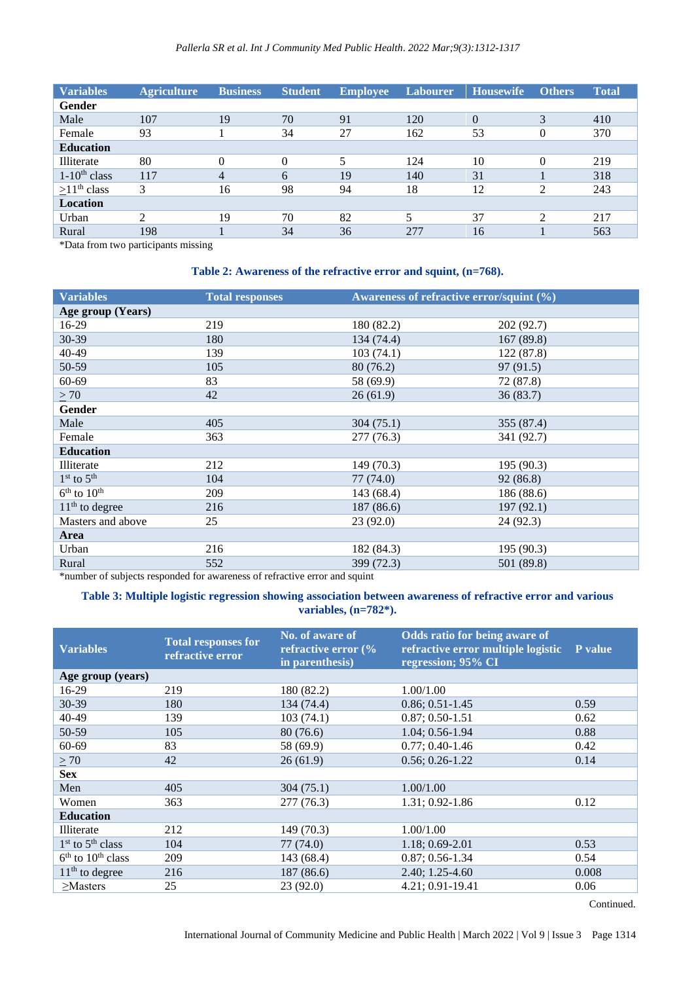| <b>Variables</b>  | <b>Agriculture</b> | <b>Business</b> | <b>Student</b> | <b>Employee</b>          | <b>Labourer</b>         | <b>Housewife</b> | <b>Others</b> | <b>Total</b> |
|-------------------|--------------------|-----------------|----------------|--------------------------|-------------------------|------------------|---------------|--------------|
| Gender            |                    |                 |                |                          |                         |                  |               |              |
| Male              | 107                | 19              | 70             | 91                       | 120                     | $\overline{0}$   | 3             | 410          |
| Female            | 93                 |                 | 34             | 27                       | 162                     | 53               | $\theta$      | 370          |
| <b>Education</b>  |                    |                 |                |                          |                         |                  |               |              |
| Illiterate        | 80                 | 0               | $\Omega$       | $\overline{\phantom{0}}$ | 124                     | 10               | $\theta$      | 219          |
| $1-10^{th}$ class | 117                | 4               | 6              | 19                       | 140                     | 31               |               | 318          |
| $>11th$ class     | 3                  | 16              | 98             | 94                       | 18                      | 12               | 2             | 243          |
| <b>Location</b>   |                    |                 |                |                          |                         |                  |               |              |
| Urban             | ∍                  | 19              | 70             | 82                       | $\overline{\mathbf{5}}$ | 37               | 2             | 217          |
| Rural             | 198                |                 | 34             | 36                       | 277                     | 16               |               | 563          |

\*Data from two participants missing

# **Table 2: Awareness of the refractive error and squint, (n=768).**

| <b>Variables</b>  | <b>Total responses</b> | Awareness of refractive error/squint (%) |            |  |
|-------------------|------------------------|------------------------------------------|------------|--|
| Age group (Years) |                        |                                          |            |  |
| 16-29             | 219                    | 180 (82.2)                               | 202 (92.7) |  |
| 30-39             | 180                    | 134 (74.4)                               | 167(89.8)  |  |
| 40-49             | 139                    | 103(74.1)                                | 122(87.8)  |  |
| 50-59             | 105                    | 80 (76.2)                                | 97 (91.5)  |  |
| 60-69             | 83                     | 58 (69.9)                                | 72 (87.8)  |  |
| $\geq 70$         | 42                     | 26(61.9)                                 | 36(83.7)   |  |
| <b>Gender</b>     |                        |                                          |            |  |
| Male              | 405                    | 304(75.1)                                | 355 (87.4) |  |
| Female            | 363                    | 277(76.3)                                | 341 (92.7) |  |
| <b>Education</b>  |                        |                                          |            |  |
| Illiterate        | 212                    | 149 (70.3)                               | 195 (90.3) |  |
| $1st$ to $5th$    | 104                    | 77 (74.0)                                | 92(86.8)   |  |
| $6th$ to $10th$   | 209                    | 143(68.4)                                | 186 (88.6) |  |
| $11th$ to degree  | 216                    | 187 (86.6)                               | 197(92.1)  |  |
| Masters and above | 25                     | 23(92.0)                                 | 24 (92.3)  |  |
| Area              |                        |                                          |            |  |
| Urban             | 216                    | 182 (84.3)                               | 195(90.3)  |  |
| Rural             | 552                    | 399 (72.3)                               | 501 (89.8) |  |

\*number of subjects responded for awareness of refractive error and squint

# **Table 3: Multiple logistic regression showing association between awareness of refractive error and various variables, (n=782\*).**

| <b>Variables</b>      | <b>Total responses for</b><br>refractive error | No. of aware of<br>refractive error (%<br>in parenthesis) | Odds ratio for being aware of<br>refractive error multiple logistic<br>regression; 95% CI | P value |
|-----------------------|------------------------------------------------|-----------------------------------------------------------|-------------------------------------------------------------------------------------------|---------|
| Age group (years)     |                                                |                                                           |                                                                                           |         |
| 16-29                 | 219                                            | 180 (82.2)                                                | 1.00/1.00                                                                                 |         |
| 30-39                 | 180                                            | 134 (74.4)                                                | $0.86; 0.51-1.45$                                                                         | 0.59    |
| 40-49                 | 139                                            | 103(74.1)                                                 | $0.87; 0.50-1.51$                                                                         | 0.62    |
| 50-59                 | 105                                            | 80 (76.6)                                                 | 1.04; 0.56-1.94                                                                           | 0.88    |
| $60 - 69$             | 83                                             | 58 (69.9)                                                 | $0.77; 0.40-1.46$                                                                         | 0.42    |
| $\geq 70$             | 42                                             | 26(61.9)                                                  | $0.56: 0.26-1.22$                                                                         | 0.14    |
| <b>Sex</b>            |                                                |                                                           |                                                                                           |         |
| Men                   | 405                                            | 304(75.1)                                                 | 1.00/1.00                                                                                 |         |
| Women                 | 363                                            | 277 (76.3)                                                | 1.31: 0.92-1.86                                                                           | 0.12    |
| <b>Education</b>      |                                                |                                                           |                                                                                           |         |
| <b>Illiterate</b>     | 212                                            | 149 (70.3)                                                | 1.00/1.00                                                                                 |         |
| $1st$ to $5th$ class  | 104                                            | 77 (74.0)                                                 | $1.18: 0.69-2.01$                                                                         | 0.53    |
| $6th$ to $10th$ class | 209                                            | 143 (68.4)                                                | $0.87; 0.56-1.34$                                                                         | 0.54    |
| $11th$ to degree      | 216                                            | 187 (86.6)                                                | $2.40; 1.25-4.60$                                                                         | 0.008   |
| $>$ Masters           | 25                                             | 23(92.0)                                                  | 4.21; 0.91-19.41                                                                          | 0.06    |

Continued.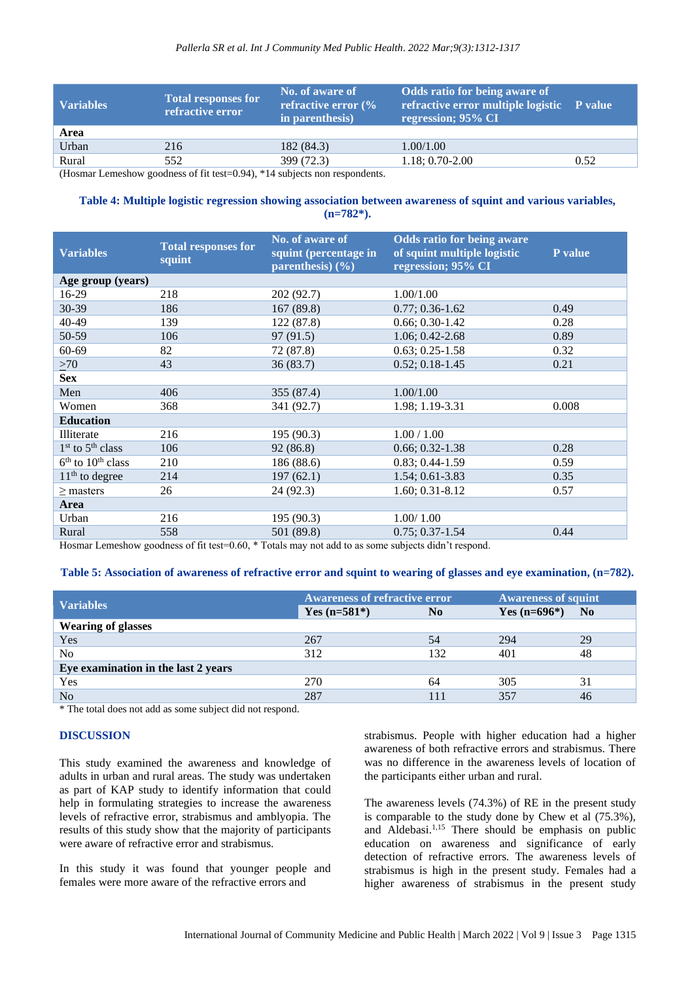| <b>Variables</b> | Total responses for<br>refractive error                                                         | No. of aware of<br>refractive error $\frac{6}{6}$<br>in parenthesis) | Odds ratio for being aware of<br>refractive error multiple logistic P value<br>regression; 95% CI |      |
|------------------|-------------------------------------------------------------------------------------------------|----------------------------------------------------------------------|---------------------------------------------------------------------------------------------------|------|
| Area             |                                                                                                 |                                                                      |                                                                                                   |      |
| Urban            | 216                                                                                             | 182 (84.3)                                                           | 1.00/1.00                                                                                         |      |
| Rural            | 552                                                                                             | 399 (72.3)                                                           | $1.18; 0.70 - 2.00$                                                                               | 0.52 |
| $-$              | $\alpha \alpha$ and $\alpha \alpha$ and $\alpha \alpha$ and $\alpha \alpha$ and $\alpha \alpha$ |                                                                      |                                                                                                   |      |

(Hosmar Lemeshow goodness of fit test=0.94), \*14 subjects non respondents.

# **Table 4: Multiple logistic regression showing association between awareness of squint and various variables, (n=782\*).**

| <b>Variables</b>      | <b>Total responses for</b><br>squint | No. of aware of<br>squint (percentage in<br>parenthesis) $(\frac{6}{6})$ | <b>Odds ratio for being aware</b><br>of squint multiple logistic<br>regression; 95% CI | P value |
|-----------------------|--------------------------------------|--------------------------------------------------------------------------|----------------------------------------------------------------------------------------|---------|
| Age group (years)     |                                      |                                                                          |                                                                                        |         |
| 16-29                 | 218                                  | 202 (92.7)                                                               | 1.00/1.00                                                                              |         |
| 30-39                 | 186                                  | 167(89.8)                                                                | $0.77; 0.36-1.62$                                                                      | 0.49    |
| 40-49                 | 139                                  | 122 (87.8)                                                               | $0.66; 0.30-1.42$                                                                      | 0.28    |
| 50-59                 | 106                                  | 97(91.5)                                                                 | 1.06; 0.42-2.68                                                                        | 0.89    |
| $60 - 69$             | 82                                   | 72 (87.8)                                                                | $0.63; 0.25-1.58$                                                                      | 0.32    |
| >70                   | 43                                   | 36(83.7)                                                                 | $0.52; 0.18-1.45$                                                                      | 0.21    |
| <b>Sex</b>            |                                      |                                                                          |                                                                                        |         |
| Men                   | 406                                  | 355 (87.4)                                                               | 1.00/1.00                                                                              |         |
| Women                 | 368                                  | 341 (92.7)                                                               | 1.98; 1.19-3.31                                                                        | 0.008   |
| <b>Education</b>      |                                      |                                                                          |                                                                                        |         |
| Illiterate            | 216                                  | 195 (90.3)                                                               | 1.00 / 1.00                                                                            |         |
| $1st$ to $5th$ class  | 106                                  | 92(86.8)                                                                 | $0.66; 0.32 - 1.38$                                                                    | 0.28    |
| $6th$ to $10th$ class | 210                                  | 186 (88.6)                                                               | $0.83; 0.44-1.59$                                                                      | 0.59    |
| $11th$ to degree      | 214                                  | 197(62.1)                                                                | 1.54; 0.61-3.83                                                                        | 0.35    |
| $\geq$ masters        | 26                                   | 24(92.3)                                                                 | $1.60; 0.31-8.12$                                                                      | 0.57    |
| Area                  |                                      |                                                                          |                                                                                        |         |
| Urban                 | 216                                  | 195 (90.3)                                                               | 1.00/1.00                                                                              |         |
| Rural                 | 558                                  | 501 (89.8)                                                               | $0.75; 0.37-1.54$                                                                      | 0.44    |

Hosmar Lemeshow goodness of fit test=0.60, \* Totals may not add to as some subjects didn't respond.

#### **Table 5: Association of awareness of refractive error and squint to wearing of glasses and eye examination, (n=782).**

| <b>Variables</b>                    | <b>Awareness of refractive error</b> |                | <b>Awareness of squint</b> |                |  |  |
|-------------------------------------|--------------------------------------|----------------|----------------------------|----------------|--|--|
|                                     | Yes $(n=581*)$                       | N <sub>0</sub> | Yes $(n=696*)$             | N <sub>0</sub> |  |  |
| <b>Wearing of glasses</b>           |                                      |                |                            |                |  |  |
| Yes                                 | 267                                  | .54            | 294                        | 29             |  |  |
| N <sub>0</sub>                      | 312                                  | 132            | 401                        | 48             |  |  |
| Eye examination in the last 2 years |                                      |                |                            |                |  |  |
| Yes                                 | 270                                  | 64             | 305                        | 31             |  |  |
| N <sub>o</sub>                      | 287                                  |                | 357                        | 46             |  |  |

\* The total does not add as some subject did not respond.

#### **DISCUSSION**

This study examined the awareness and knowledge of adults in urban and rural areas. The study was undertaken as part of KAP study to identify information that could help in formulating strategies to increase the awareness levels of refractive error, strabismus and amblyopia. The results of this study show that the majority of participants were aware of refractive error and strabismus.

In this study it was found that younger people and females were more aware of the refractive errors and

strabismus. People with higher education had a higher awareness of both refractive errors and strabismus. There was no difference in the awareness levels of location of the participants either urban and rural.

The awareness levels (74.3%) of RE in the present study is comparable to the study done by Chew et al (75.3%), and Aldebasi.1,15 There should be emphasis on public education on awareness and significance of early detection of refractive errors. The awareness levels of strabismus is high in the present study. Females had a higher awareness of strabismus in the present study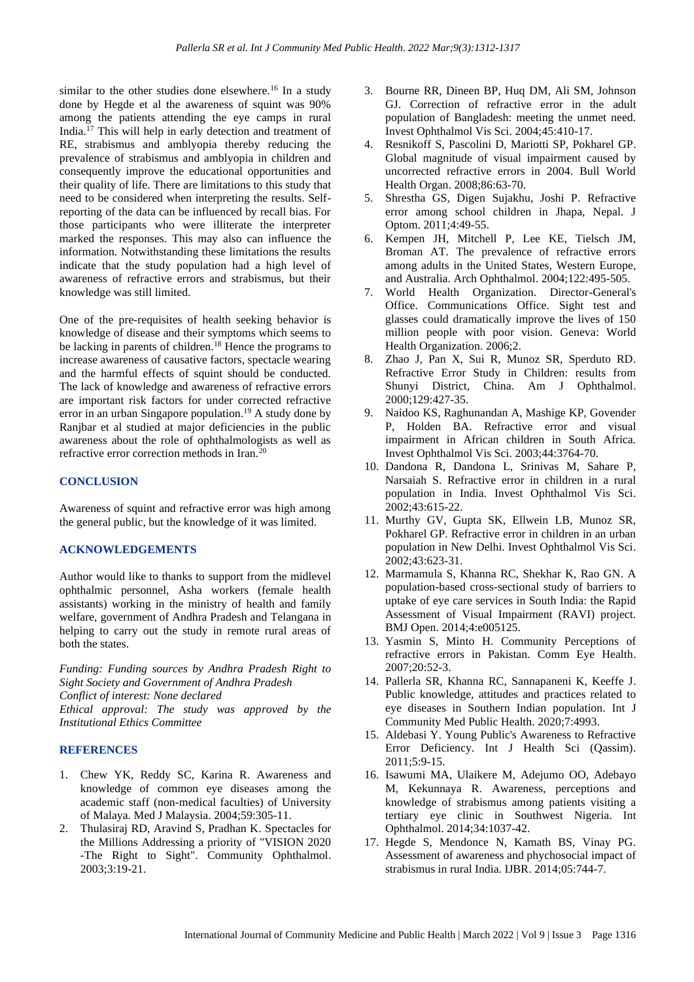similar to the other studies done elsewhere.<sup>16</sup> In a study done by Hegde et al the awareness of squint was 90% among the patients attending the eye camps in rural India.<sup>17</sup> This will help in early detection and treatment of RE, strabismus and amblyopia thereby reducing the prevalence of strabismus and amblyopia in children and consequently improve the educational opportunities and their quality of life. There are limitations to this study that need to be considered when interpreting the results. Selfreporting of the data can be influenced by recall bias. For those participants who were illiterate the interpreter marked the responses. This may also can influence the information. Notwithstanding these limitations the results indicate that the study population had a high level of awareness of refractive errors and strabismus, but their knowledge was still limited.

One of the pre-requisites of health seeking behavior is knowledge of disease and their symptoms which seems to be lacking in parents of children.<sup>18</sup> Hence the programs to increase awareness of causative factors, spectacle wearing and the harmful effects of squint should be conducted. The lack of knowledge and awareness of refractive errors are important risk factors for under corrected refractive error in an urban Singapore population.<sup>19</sup> A study done by Ranjbar et al studied at major deficiencies in the public awareness about the role of ophthalmologists as well as refractive error correction methods in Iran.<sup>20</sup>

# **CONCLUSION**

Awareness of squint and refractive error was high among the general public, but the knowledge of it was limited.

#### **ACKNOWLEDGEMENTS**

Author would like to thanks to support from the midlevel ophthalmic personnel, Asha workers (female health assistants) working in the ministry of health and family welfare, government of Andhra Pradesh and Telangana in helping to carry out the study in remote rural areas of both the states.

*Funding: Funding sources by Andhra Pradesh Right to Sight Society and Government of Andhra Pradesh Conflict of interest: None declared Ethical approval: The study was approved by the Institutional Ethics Committee*

#### **REFERENCES**

- 1. Chew YK, Reddy SC, Karina R. Awareness and knowledge of common eye diseases among the academic staff (non-medical faculties) of University of Malaya. Med J Malaysia. 2004;59:305-11.
- 2. Thulasiraj RD, Aravind S, Pradhan K. Spectacles for the Millions Addressing a priority of "VISION 2020 -The Right to Sight". Community Ophthalmol. 2003;3:19-21.
- 3. Bourne RR, Dineen BP, Huq DM, Ali SM, Johnson GJ. Correction of refractive error in the adult population of Bangladesh: meeting the unmet need. Invest Ophthalmol Vis Sci. 2004;45:410-17.
- 4. Resnikoff S, Pascolini D, Mariotti SP, Pokharel GP. Global magnitude of visual impairment caused by uncorrected refractive errors in 2004. Bull World Health Organ. 2008;86:63-70.
- 5. Shrestha GS, Digen Sujakhu, Joshi P. Refractive error among school children in Jhapa, Nepal. J Optom. 2011;4:49-55.
- 6. Kempen JH, Mitchell P, Lee KE, Tielsch JM, Broman AT. The prevalence of refractive errors among adults in the United States, Western Europe, and Australia. Arch Ophthalmol. 2004;122:495-505.
- 7. World Health Organization. Director-General's Office. Communications Office. Sight test and glasses could dramatically improve the lives of 150 million people with poor vision. Geneva: World Health Organization. 2006;2.
- 8. Zhao J, Pan X, Sui R, Munoz SR, Sperduto RD. Refractive Error Study in Children: results from Shunyi District, China. Am J Ophthalmol. 2000;129:427-35.
- 9. Naidoo KS, Raghunandan A, Mashige KP, Govender P, Holden BA. Refractive error and visual impairment in African children in South Africa. Invest Ophthalmol Vis Sci. 2003;44:3764-70.
- 10. Dandona R, Dandona L, Srinivas M, Sahare P, Narsaiah S. Refractive error in children in a rural population in India. Invest Ophthalmol Vis Sci. 2002;43:615-22.
- 11. Murthy GV, Gupta SK, Ellwein LB, Munoz SR, Pokharel GP. Refractive error in children in an urban population in New Delhi. Invest Ophthalmol Vis Sci. 2002;43:623-31.
- 12. Marmamula S, Khanna RC, Shekhar K, Rao GN. A population-based cross-sectional study of barriers to uptake of eye care services in South India: the Rapid Assessment of Visual Impairment (RAVI) project. BMJ Open. 2014;4:e005125.
- 13. Yasmin S, Minto H. Community Perceptions of refractive errors in Pakistan. Comm Eye Health. 2007;20:52-3.
- 14. Pallerla SR, Khanna RC, Sannapaneni K, Keeffe J. Public knowledge, attitudes and practices related to eye diseases in Southern Indian population. Int J Community Med Public Health. 2020;7:4993.
- 15. Aldebasi Y. Young Public's Awareness to Refractive Error Deficiency. Int J Health Sci (Qassim). 2011;5:9-15.
- 16. Isawumi MA, Ulaikere M, Adejumo OO, Adebayo M, Kekunnaya R. Awareness, perceptions and knowledge of strabismus among patients visiting a tertiary eye clinic in Southwest Nigeria. Int Ophthalmol. 2014;34:1037-42.
- 17. Hegde S, Mendonce N, Kamath BS, Vinay PG. Assessment of awareness and phychosocial impact of strabismus in rural India. IJBR. 2014;05:744-7.